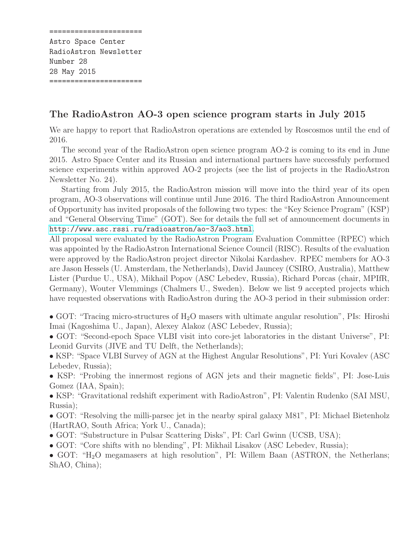====================== Astro Space Center RadioAstron Newsletter Number 28 28 May 2015 ======================

## The RadioAstron AO-3 open science program starts in July 2015

We are happy to report that RadioAstron operations are extended by Roscosmos until the end of 2016.

The second year of the RadioAstron open science program AO-2 is coming to its end in June 2015. Astro Space Center and its Russian and international partners have successfuly performed science experiments within approved AO-2 projects (see the list of projects in the RadioAstron Newsletter No. 24).

Starting from July 2015, the RadioAstron mission will move into the third year of its open program, AO-3 observations will continue until June 2016. The third RadioAstron Announcement of Opportunity has invited proposals of the following two types: the "Key Science Program" (KSP) and "General Observing Time" (GOT). See for details the full set of announcement documents in <http://www.asc.rssi.ru/radioastron/ao-3/ao3.html>.

All proposal were evaluated by the RadioAstron Program Evaluation Committee (RPEC) which was appointed by the RadioAstron International Science Council (RISC). Results of the evaluation were approved by the RadioAstron project director Nikolai Kardashev. RPEC members for AO-3 are Jason Hessels (U. Amsterdam, the Netherlands), David Jauncey (CSIRO, Australia), Matthew Lister (Purdue U., USA), Mikhail Popov (ASC Lebedev, Russia), Richard Porcas (chair, MPIfR, Germany), Wouter Vlemmings (Chalmers U., Sweden). Below we list 9 accepted projects which have requested observations with RadioAstron during the AO-3 period in their submission order:

• GOT: "Tracing micro-structures of  $H_2O$  masers with ultimate angular resolution", PIs: Hiroshi Imai (Kagoshima U., Japan), Alexey Alakoz (ASC Lebedev, Russia);

• GOT: "Second-epoch Space VLBI visit into core-jet laboratories in the distant Universe", PI: Leonid Gurvits (JIVE and TU Delft, the Netherlands);

• KSP: "Space VLBI Survey of AGN at the Highest Angular Resolutions", PI: Yuri Kovalev (ASC Lebedev, Russia);

• KSP: "Probing the innermost regions of AGN jets and their magnetic fields", PI: Jose-Luis Gomez (IAA, Spain);

• KSP: "Gravitational redshift experiment with RadioAstron", PI: Valentin Rudenko (SAI MSU, Russia);

• GOT: "Resolving the milli-parsec jet in the nearby spiral galaxy M81", PI: Michael Bietenholz (HartRAO, South Africa; York U., Canada);

- GOT: "Substructure in Pulsar Scattering Disks", PI: Carl Gwinn (UCSB, USA);
- GOT: "Core shifts with no blending", PI: Mikhail Lisakov (ASC Lebedev, Russia);
- GOT: "H<sub>2</sub>O megamasers at high resolution", PI: Willem Baan (ASTRON, the Netherlans; ShAO, China);